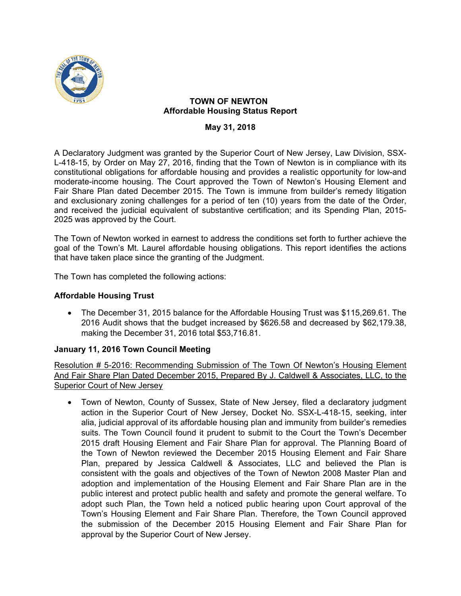

### **TOWN OF NEWTON Affordable Housing Status Report**

# **May 31, 2018**

A Declaratory Judgment was granted by the Superior Court of New Jersey, Law Division, SSX-L-418-15, by Order on May 27, 2016, finding that the Town of Newton is in compliance with its constitutional obligations for affordable housing and provides a realistic opportunity for low-and moderate-income housing. The Court approved the Town of Newton's Housing Element and Fair Share Plan dated December 2015. The Town is immune from builder's remedy litigation and exclusionary zoning challenges for a period of ten (10) years from the date of the Order, and received the judicial equivalent of substantive certification; and its Spending Plan, 2015- 2025 was approved by the Court.

The Town of Newton worked in earnest to address the conditions set forth to further achieve the goal of the Town's Mt. Laurel affordable housing obligations. This report identifies the actions that have taken place since the granting of the Judgment.

The Town has completed the following actions:

# **Affordable Housing Trust**

 The December 31, 2015 balance for the Affordable Housing Trust was \$115,269.61. The 2016 Audit shows that the budget increased by \$626.58 and decreased by \$62,179.38, making the December 31, 2016 total \$53,716.81.

#### **January 11, 2016 Town Council Meeting**

Resolution # 5-2016: Recommending Submission of The Town Of Newton's Housing Element And Fair Share Plan Dated December 2015, Prepared By J. Caldwell & Associates, LLC, to the Superior Court of New Jersey

 Town of Newton, County of Sussex, State of New Jersey, filed a declaratory judgment action in the Superior Court of New Jersey, Docket No. SSX-L-418-15, seeking, inter alia, judicial approval of its affordable housing plan and immunity from builder's remedies suits. The Town Council found it prudent to submit to the Court the Town's December 2015 draft Housing Element and Fair Share Plan for approval. The Planning Board of the Town of Newton reviewed the December 2015 Housing Element and Fair Share Plan, prepared by Jessica Caldwell & Associates, LLC and believed the Plan is consistent with the goals and objectives of the Town of Newton 2008 Master Plan and adoption and implementation of the Housing Element and Fair Share Plan are in the public interest and protect public health and safety and promote the general welfare. To adopt such Plan, the Town held a noticed public hearing upon Court approval of the Town's Housing Element and Fair Share Plan. Therefore, the Town Council approved the submission of the December 2015 Housing Element and Fair Share Plan for approval by the Superior Court of New Jersey.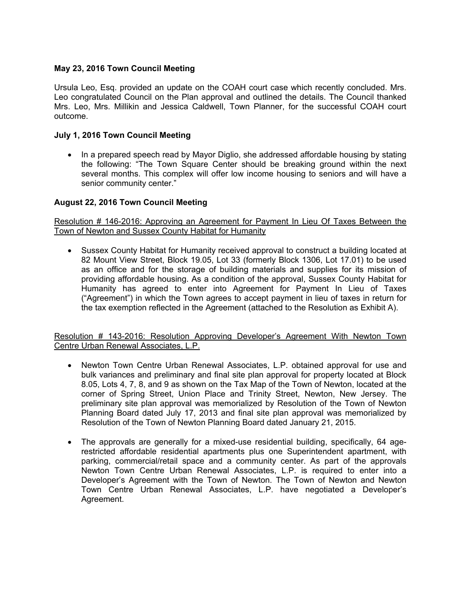# **May 23, 2016 Town Council Meeting**

Ursula Leo, Esq. provided an update on the COAH court case which recently concluded. Mrs. Leo congratulated Council on the Plan approval and outlined the details. The Council thanked Mrs. Leo, Mrs. Millikin and Jessica Caldwell, Town Planner, for the successful COAH court outcome.

#### **July 1, 2016 Town Council Meeting**

• In a prepared speech read by Mayor Diglio, she addressed affordable housing by stating the following: "The Town Square Center should be breaking ground within the next several months. This complex will offer low income housing to seniors and will have a senior community center."

# **August 22, 2016 Town Council Meeting**

Resolution # 146-2016: Approving an Agreement for Payment In Lieu Of Taxes Between the Town of Newton and Sussex County Habitat for Humanity

 Sussex County Habitat for Humanity received approval to construct a building located at 82 Mount View Street, Block 19.05, Lot 33 (formerly Block 1306, Lot 17.01) to be used as an office and for the storage of building materials and supplies for its mission of providing affordable housing. As a condition of the approval, Sussex County Habitat for Humanity has agreed to enter into Agreement for Payment In Lieu of Taxes ("Agreement") in which the Town agrees to accept payment in lieu of taxes in return for the tax exemption reflected in the Agreement (attached to the Resolution as Exhibit A).

Resolution # 143-2016: Resolution Approving Developer's Agreement With Newton Town Centre Urban Renewal Associates, L.P.

- Newton Town Centre Urban Renewal Associates, L.P. obtained approval for use and bulk variances and preliminary and final site plan approval for property located at Block 8.05, Lots 4, 7, 8, and 9 as shown on the Tax Map of the Town of Newton, located at the corner of Spring Street, Union Place and Trinity Street, Newton, New Jersey. The preliminary site plan approval was memorialized by Resolution of the Town of Newton Planning Board dated July 17, 2013 and final site plan approval was memorialized by Resolution of the Town of Newton Planning Board dated January 21, 2015.
- The approvals are generally for a mixed-use residential building, specifically, 64 agerestricted affordable residential apartments plus one Superintendent apartment, with parking, commercial/retail space and a community center. As part of the approvals Newton Town Centre Urban Renewal Associates, L.P. is required to enter into a Developer's Agreement with the Town of Newton. The Town of Newton and Newton Town Centre Urban Renewal Associates, L.P. have negotiated a Developer's Agreement.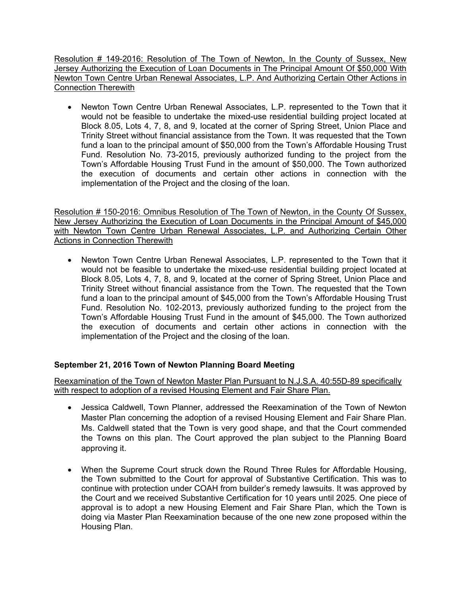Resolution # 149-2016: Resolution of The Town of Newton, In the County of Sussex, New Jersey Authorizing the Execution of Loan Documents in The Principal Amount Of \$50,000 With Newton Town Centre Urban Renewal Associates, L.P. And Authorizing Certain Other Actions in Connection Therewith

 Newton Town Centre Urban Renewal Associates, L.P. represented to the Town that it would not be feasible to undertake the mixed-use residential building project located at Block 8.05, Lots 4, 7, 8, and 9, located at the corner of Spring Street, Union Place and Trinity Street without financial assistance from the Town. It was requested that the Town fund a loan to the principal amount of \$50,000 from the Town's Affordable Housing Trust Fund. Resolution No. 73-2015, previously authorized funding to the project from the Town's Affordable Housing Trust Fund in the amount of \$50,000. The Town authorized the execution of documents and certain other actions in connection with the implementation of the Project and the closing of the loan.

Resolution # 150-2016: Omnibus Resolution of The Town of Newton, in the County Of Sussex, New Jersey Authorizing the Execution of Loan Documents in the Principal Amount of \$45,000 with Newton Town Centre Urban Renewal Associates, L.P. and Authorizing Certain Other Actions in Connection Therewith

 Newton Town Centre Urban Renewal Associates, L.P. represented to the Town that it would not be feasible to undertake the mixed-use residential building project located at Block 8.05, Lots 4, 7, 8, and 9, located at the corner of Spring Street, Union Place and Trinity Street without financial assistance from the Town. The requested that the Town fund a loan to the principal amount of \$45,000 from the Town's Affordable Housing Trust Fund. Resolution No. 102-2013, previously authorized funding to the project from the Town's Affordable Housing Trust Fund in the amount of \$45,000. The Town authorized the execution of documents and certain other actions in connection with the implementation of the Project and the closing of the loan.

# **September 21, 2016 Town of Newton Planning Board Meeting**

Reexamination of the Town of Newton Master Plan Pursuant to N.J.S.A. 40:55D-89 specifically with respect to adoption of a revised Housing Element and Fair Share Plan.

- Jessica Caldwell, Town Planner, addressed the Reexamination of the Town of Newton Master Plan concerning the adoption of a revised Housing Element and Fair Share Plan. Ms. Caldwell stated that the Town is very good shape, and that the Court commended the Towns on this plan. The Court approved the plan subject to the Planning Board approving it.
- When the Supreme Court struck down the Round Three Rules for Affordable Housing, the Town submitted to the Court for approval of Substantive Certification. This was to continue with protection under COAH from builder's remedy lawsuits. It was approved by the Court and we received Substantive Certification for 10 years until 2025. One piece of approval is to adopt a new Housing Element and Fair Share Plan, which the Town is doing via Master Plan Reexamination because of the one new zone proposed within the Housing Plan.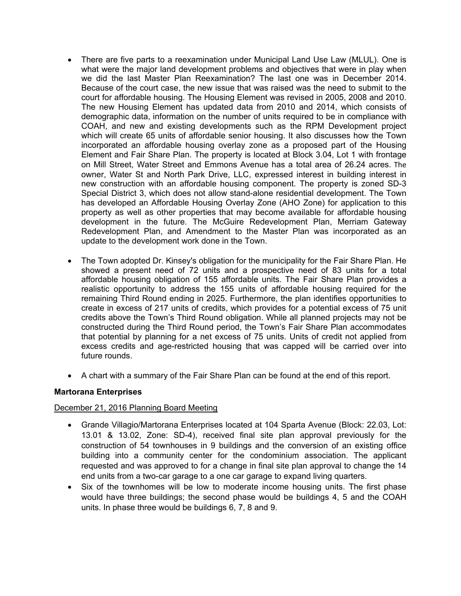- There are five parts to a reexamination under Municipal Land Use Law (MLUL). One is what were the major land development problems and objectives that were in play when we did the last Master Plan Reexamination? The last one was in December 2014. Because of the court case, the new issue that was raised was the need to submit to the court for affordable housing. The Housing Element was revised in 2005, 2008 and 2010. The new Housing Element has updated data from 2010 and 2014, which consists of demographic data, information on the number of units required to be in compliance with COAH, and new and existing developments such as the RPM Development project which will create 65 units of affordable senior housing. It also discusses how the Town incorporated an affordable housing overlay zone as a proposed part of the Housing Element and Fair Share Plan. The property is located at Block 3.04, Lot 1 with frontage on Mill Street, Water Street and Emmons Avenue has a total area of 26.24 acres. The owner, Water St and North Park Drive, LLC, expressed interest in building interest in new construction with an affordable housing component. The property is zoned SD-3 Special District 3, which does not allow stand-alone residential development. The Town has developed an Affordable Housing Overlay Zone (AHO Zone) for application to this property as well as other properties that may become available for affordable housing development in the future. The McGuire Redevelopment Plan, Merriam Gateway Redevelopment Plan, and Amendment to the Master Plan was incorporated as an update to the development work done in the Town.
- The Town adopted Dr. Kinsey's obligation for the municipality for the Fair Share Plan. He showed a present need of 72 units and a prospective need of 83 units for a total affordable housing obligation of 155 affordable units. The Fair Share Plan provides a realistic opportunity to address the 155 units of affordable housing required for the remaining Third Round ending in 2025. Furthermore, the plan identifies opportunities to create in excess of 217 units of credits, which provides for a potential excess of 75 unit credits above the Town's Third Round obligation. While all planned projects may not be constructed during the Third Round period, the Town's Fair Share Plan accommodates that potential by planning for a net excess of 75 units. Units of credit not applied from excess credits and age-restricted housing that was capped will be carried over into future rounds.
- A chart with a summary of the Fair Share Plan can be found at the end of this report.

#### **Martorana Enterprises**

#### December 21, 2016 Planning Board Meeting

- Grande Villagio/Martorana Enterprises located at 104 Sparta Avenue (Block: 22.03, Lot: 13.01 & 13.02, Zone: SD-4), received final site plan approval previously for the construction of 54 townhouses in 9 buildings and the conversion of an existing office building into a community center for the condominium association. The applicant requested and was approved to for a change in final site plan approval to change the 14 end units from a two-car garage to a one car garage to expand living quarters.
- Six of the townhomes will be low to moderate income housing units. The first phase would have three buildings; the second phase would be buildings 4, 5 and the COAH units. In phase three would be buildings 6, 7, 8 and 9.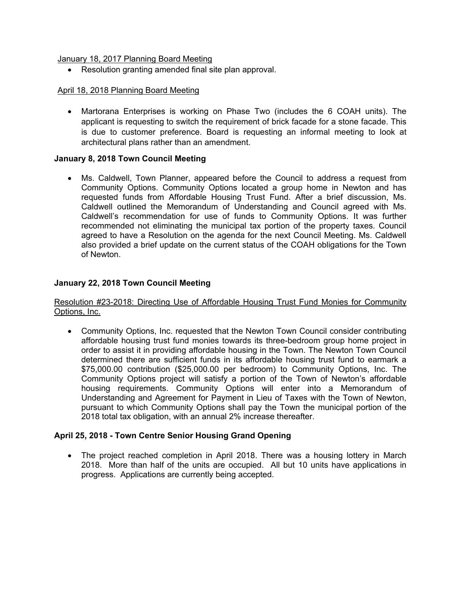#### January 18, 2017 Planning Board Meeting

Resolution granting amended final site plan approval.

#### April 18, 2018 Planning Board Meeting

 Martorana Enterprises is working on Phase Two (includes the 6 COAH units). The applicant is requesting to switch the requirement of brick facade for a stone facade. This is due to customer preference. Board is requesting an informal meeting to look at architectural plans rather than an amendment.

# **January 8, 2018 Town Council Meeting**

 Ms. Caldwell, Town Planner, appeared before the Council to address a request from Community Options. Community Options located a group home in Newton and has requested funds from Affordable Housing Trust Fund. After a brief discussion, Ms. Caldwell outlined the Memorandum of Understanding and Council agreed with Ms. Caldwell's recommendation for use of funds to Community Options. It was further recommended not eliminating the municipal tax portion of the property taxes. Council agreed to have a Resolution on the agenda for the next Council Meeting. Ms. Caldwell also provided a brief update on the current status of the COAH obligations for the Town of Newton.

# **January 22, 2018 Town Council Meeting**

Resolution #23-2018: Directing Use of Affordable Housing Trust Fund Monies for Community Options, Inc.

 Community Options, Inc. requested that the Newton Town Council consider contributing affordable housing trust fund monies towards its three-bedroom group home project in order to assist it in providing affordable housing in the Town. The Newton Town Council determined there are sufficient funds in its affordable housing trust fund to earmark a \$75,000.00 contribution (\$25,000.00 per bedroom) to Community Options, Inc. The Community Options project will satisfy a portion of the Town of Newton's affordable housing requirements. Community Options will enter into a Memorandum of Understanding and Agreement for Payment in Lieu of Taxes with the Town of Newton, pursuant to which Community Options shall pay the Town the municipal portion of the 2018 total tax obligation, with an annual 2% increase thereafter.

#### **April 25, 2018 - Town Centre Senior Housing Grand Opening**

 The project reached completion in April 2018. There was a housing lottery in March 2018. More than half of the units are occupied. All but 10 units have applications in progress. Applications are currently being accepted.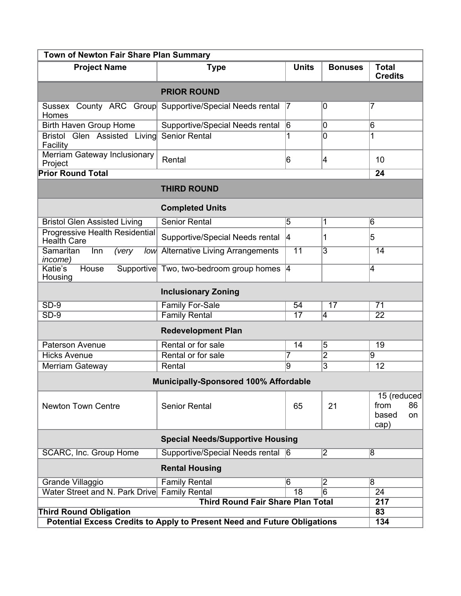| Town of Newton Fair Share Plan Summary                                   |                                                         |                 |                 |                                                  |  |  |  |
|--------------------------------------------------------------------------|---------------------------------------------------------|-----------------|-----------------|--------------------------------------------------|--|--|--|
| <b>Project Name</b>                                                      | <b>Type</b>                                             | <b>Units</b>    | <b>Bonuses</b>  | <b>Total</b><br><b>Credits</b>                   |  |  |  |
| <b>PRIOR ROUND</b>                                                       |                                                         |                 |                 |                                                  |  |  |  |
| Homes                                                                    | Sussex County ARC Group Supportive/Special Needs rental | 17              | 10              | 7                                                |  |  |  |
| <b>Birth Haven Group Home</b>                                            | Supportive/Special Needs rental                         | $\overline{6}$  | 0               | 6                                                |  |  |  |
| Bristol Glen Assisted Living<br>Facility                                 | <b>Senior Rental</b>                                    |                 | 0               | 1                                                |  |  |  |
| Merriam Gateway Inclusionary<br>Project                                  | Rental                                                  | 6               | 4               | 10                                               |  |  |  |
| <b>Prior Round Total</b>                                                 |                                                         |                 |                 | $\overline{24}$                                  |  |  |  |
| <b>THIRD ROUND</b>                                                       |                                                         |                 |                 |                                                  |  |  |  |
|                                                                          | <b>Completed Units</b>                                  |                 |                 |                                                  |  |  |  |
| <b>Bristol Glen Assisted Living</b>                                      | <b>Senior Rental</b>                                    | 5               | 1               | $\overline{6}$                                   |  |  |  |
| Progressive Health Residential<br><b>Health Care</b>                     | Supportive/Special Needs rental                         | <sup>4</sup>    |                 | 5                                                |  |  |  |
| Samaritan<br>Inn<br>(very<br><i>income</i> )                             | <b>Iow</b> Alternative Living Arrangements              | $\overline{11}$ | 3               | $\overline{14}$                                  |  |  |  |
| Katie's<br><b>House</b><br>Housing                                       | Supportive Two, two-bedroom group homes 4               |                 |                 | $\overline{4}$                                   |  |  |  |
| <b>Inclusionary Zoning</b>                                               |                                                         |                 |                 |                                                  |  |  |  |
| $SD-9$                                                                   | <b>Family For-Sale</b>                                  | $\overline{54}$ | $\overline{17}$ | $\overline{71}$                                  |  |  |  |
| $SD-9$                                                                   | <b>Family Rental</b>                                    | $\overline{17}$ | $\overline{4}$  | $\overline{22}$                                  |  |  |  |
| <b>Redevelopment Plan</b>                                                |                                                         |                 |                 |                                                  |  |  |  |
| <b>Paterson Avenue</b>                                                   | Rental or for sale                                      | 14              | 5               | 19                                               |  |  |  |
| <b>Hicks Avenue</b>                                                      | Rental or for sale                                      | 7               | $\overline{2}$  | g                                                |  |  |  |
| <b>Merriam Gateway</b>                                                   | Rental                                                  | 9               | $\overline{3}$  | 12                                               |  |  |  |
| <b>Municipally-Sponsored 100% Affordable</b>                             |                                                         |                 |                 |                                                  |  |  |  |
| <b>Newton Town Centre</b>                                                | <b>Senior Rental</b>                                    | 65              | 21              | 15 (reduced<br>86<br>from<br>based<br>on<br>cap) |  |  |  |
| <b>Special Needs/Supportive Housing</b>                                  |                                                         |                 |                 |                                                  |  |  |  |
| <b>SCARC, Inc. Group Home</b>                                            | Supportive/Special Needs rental 6                       |                 | $\overline{2}$  | $\overline{8}$                                   |  |  |  |
| <b>Rental Housing</b>                                                    |                                                         |                 |                 |                                                  |  |  |  |
| Grande Villaggio                                                         | <b>Family Rental</b>                                    | $\overline{6}$  | 2               | $\overline{8}$                                   |  |  |  |
| Water Street and N. Park Drive                                           | <b>Family Rental</b>                                    | $\overline{18}$ | $\overline{6}$  | $\overline{24}$<br>$\overline{217}$              |  |  |  |
| <b>Third Round Fair Share Plan Total</b>                                 |                                                         |                 |                 |                                                  |  |  |  |
| <b>Third Round Obligation</b>                                            |                                                         |                 |                 |                                                  |  |  |  |
| Potential Excess Credits to Apply to Present Need and Future Obligations |                                                         |                 |                 |                                                  |  |  |  |